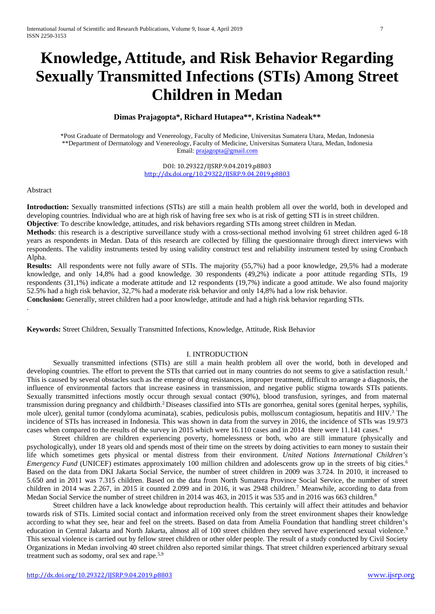# **Knowledge, Attitude, and Risk Behavior Regarding Sexually Transmitted Infections (STIs) Among Street Children in Medan**

## **Dimas Prajagopta\*, Richard Hutapea\*\*, Kristina Nadeak\*\***

\*Post Graduate of Dermatology and Venereology, Faculty of Medicine, Universitas Sumatera Utara, Medan, Indonesia \*\*Department of Dermatology and Venereology, Faculty of Medicine, Universitas Sumatera Utara, Medan, Indonesia Email[: prajagopta@gmail.com](mailto:prajagopta@gmail.com)

> DOI: 10.29322/IJSRP.9.04.2019.p8803 <http://dx.doi.org/10.29322/IJSRP.9.04.2019.p8803>

#### Abstract

.

**Introduction:** Sexually transmitted infections (STIs) are still a main health problem all over the world, both in developed and developing countries. Individual who are at high risk of having free sex who is at risk of getting STI is in street children.

**Objective**: To describe knowledge, attitudes, and risk behaviors regarding STIs among street children in Medan.

**Methods**: this research is a descriptive surveillance study with a cross-sectional method involving 61 street children aged 6-18 years as respondents in Medan. Data of this research are collected by filling the questionnaire through direct interviews with respondents. The validity instruments tested by using validity construct test and reliability instrument tested by using Cronbach Alpha.

**Results:** All respondents were not fully aware of STIs. The majority (55,7%) had a poor knowledge, 29,5% had a moderate knowledge, and only 14,8% had a good knowledge. 30 respondents (49,2%) indicate a poor attitude regarding STIs, 19 respondents (31,1%) indicate a moderate attitude and 12 respondents (19,7%) indicate a good attitude. We also found majority 52.5% had a high risk behavior, 32,7% had a moderate risk behavior and only 14,8% had a low risk behavior.

**Conclusion:** Generally, street children had a poor knowledge, attitude and had a high risk behavior regarding STIs.

**Keywords:** Street Children, Sexually Transmitted Infections, Knowledge, Attitude, Risk Behavior

#### I. INTRODUCTION

Sexually transmitted infections (STIs) are still a main health problem all over the world, both in developed and developing countries. The effort to prevent the STIs that carried out in many countries do not seems to give a satisfaction result.<sup>1</sup> This is caused by several obstacles such as the emerge of drug resistances, improper treatment, difficult to arrange a diagnosis, the influence of environmental factors that increase easiness in transmission, and negative public stigma towards STIs patients. Sexually transmitted infections mostly occur through sexual contact (90%), blood transfusion, syringes, and from maternal transmission during pregnancy and childbirth. <sup>2</sup> Diseases classified into STIs are gonorrhea, genital sores (genital herpes, syphilis, mole ulcer), genital tumor (condyloma acuminata), scabies, pediculosis pubis, molluscum contagiosum, hepatitis and HIV.3 The incidence of STIs has increased in Indonesia. This was shown in data from the survey in 2016, the incidence of STIs was 19.973 cases when compared to the results of the survey in 2015 which were 16.110 cases and in 2014 there were 11.141 cases.<sup>4</sup>

Street children are children experiencing poverty, homelessness or both, who are still immature (physically and psychologically), under 18 years old and spends most of their time on the streets by doing activities to earn money to sustain their life which sometimes gets physical or mental distress from their environment. *United Nations International Children's Emergency Fund* (UNICEF) estimates approximately 100 million children and adolescents grow up in the streets of big cities.<sup>6</sup> Based on the data from DKI Jakarta Social Service, the number of street children in 2009 was 3.724. In 2010, it increased to 5.650 and in 2011 was 7.315 children. Based on the data from North Sumatera Province Social Service, the number of street children in 2014 was 2.267, in 2015 it counted 2.099 and in 2016, it was 2948 children.<sup>7</sup> Meanwhile, according to data from Medan Social Service the number of street children in 2014 was 463, in 2015 it was 535 and in 2016 was 663 children.<sup>8</sup>

Street children have a lack knowledge about reproduction health. This certainly will affect their attitudes and behavior towards risk of STIs. Limited social contact and information received only from the street environment shapes their knowledge according to what they see, hear and feel on the streets. Based on data from Amelia Foundation that handling street children's education in Central Jakarta and North Jakarta, almost all of 100 street children they served have experienced sexual violence.<sup>5</sup> This sexual violence is carried out by fellow street children or other older people. The result of a study conducted by Civil Society Organizations in Medan involving 40 street children also reported similar things. That street children experienced arbitrary sexual treatment such as sodomy, oral sex and rape.5,9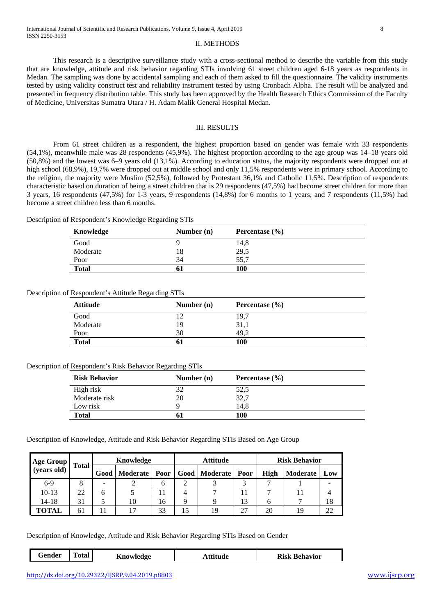#### II. METHODS

This research is a descriptive surveillance study with a cross-sectional method to describe the variable from this study that are knowledge, attitude and risk behavior regarding STIs involving 61 street children aged 6-18 years as respondents in Medan. The sampling was done by accidental sampling and each of them asked to fill the questionnaire. The validity instruments tested by using validity construct test and reliability instrument tested by using Cronbach Alpha. The result will be analyzed and presented in frequency distribution table. This study has been approved by the Health Research Ethics Commission of the Faculty of Medicine, Universitas Sumatra Utara / H. Adam Malik General Hospital Medan.

#### III. RESULTS

From 61 street children as a respondent, the highest proportion based on gender was female with 33 respondents (54,1%), meanwhile male was 28 respondents (45,9%). The highest proportion according to the age group was 14–18 years old (50,8%) and the lowest was 6–9 years old (13,1%). According to education status, the majority respondents were dropped out at high school (68,9%), 19,7% were dropped out at middle school and only 11,5% respondents were in primary school. According to the religion, the majority were Muslim (52,5%), followed by Protestant 36,1% and Catholic 11,5%. Description of respondents characteristic based on duration of being a street children that is 29 respondents (47,5%) had become street children for more than 3 years, 16 respondents (47,5%) for 1-3 years, 9 respondents (14,8%) for 6 months to 1 years, and 7 respondents (11,5%) had become a street children less than 6 months.

| Description of Respondent's Knowledge Regarding STIs |  |  |  |  |  |  |  |  |  |
|------------------------------------------------------|--|--|--|--|--|--|--|--|--|
|------------------------------------------------------|--|--|--|--|--|--|--|--|--|

| Knowledge    | Number $(n)$ | Percentase $(\% )$ |  |
|--------------|--------------|--------------------|--|
| Good         |              | 14,8               |  |
| Moderate     | 18           | 29,5               |  |
| Poor         | 34           | 55.7               |  |
| <b>Total</b> | 61           | 100                |  |

Description of Respondent's Attitude Regarding STIs

| <b>Attitude</b> | Number $(n)$ | Percentase $(\% )$ |  |
|-----------------|--------------|--------------------|--|
| Good            | 12           | 19,7               |  |
| Moderate        | 19           | 31,1               |  |
| Poor            | 30           | 49.2               |  |
| <b>Total</b>    | 61           | 100                |  |

#### Description of Respondent's Risk Behavior Regarding STIs

| <b>Risk Behavior</b> | Number $(n)$ | Percentase $(\% )$ |  |
|----------------------|--------------|--------------------|--|
| High risk            | 32           | 52,5               |  |
| Moderate risk        | 20           | 32,7               |  |
| Low risk             |              | 14.8               |  |
| <b>Total</b>         | 61           | 100                |  |

Description of Knowledge, Attitude and Risk Behavior Regarding STIs Based on Age Group

| Age Group   |              |  | Knowledge              |    |    | Attitude               |    | <b>Risk Behavior</b> |          |     |
|-------------|--------------|--|------------------------|----|----|------------------------|----|----------------------|----------|-----|
| (years old) | <b>Total</b> |  | Good   Moderate   Poor |    |    | Good   Moderate   Poor |    | <b>High</b>          | Moderate | Low |
| $6-9$       | ∩            |  |                        | h  |    |                        |    |                      |          |     |
| $10-13$     | 22           |  |                        |    |    |                        |    |                      |          |     |
| 14-18       | 31           |  | 10                     | 16 |    |                        | 13 |                      |          | 18  |
| TOTAL       | 61           |  |                        | 33 | 15 | 19                     | 27 | 20                   | 19       | 22  |

Description of Knowledge, Attitude and Risk Behavior Regarding STIs Based on Gender

| --<br>`otal<br>Gender<br>Knowledge | wae | <b>Risk</b><br>ehavior |
|------------------------------------|-----|------------------------|
|------------------------------------|-----|------------------------|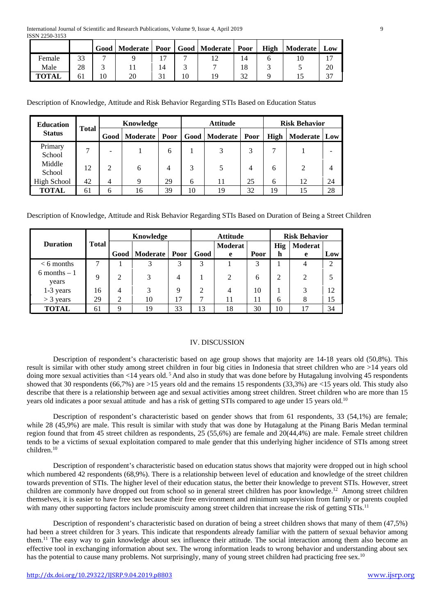|              |    | Good   Moderate   Poor   Good   Moderate   Poor |    |     |    | High | Moderate | Low |
|--------------|----|-------------------------------------------------|----|-----|----|------|----------|-----|
| Female       | 33 |                                                 |    |     | 14 |      |          |     |
| Male         | 28 |                                                 | 14 |     |    |      |          | 20  |
| <b>TOTAL</b> | 61 | 20                                              |    | 1 Q |    |      |          |     |

Description of Knowledge, Attitude and Risk Behavior Regarding STIs Based on Education Status

| <b>Education</b>  |              | Knowledge      |                 |                | <b>Attitude</b> |                        |    | <b>Risk Behavior</b> |              |    |
|-------------------|--------------|----------------|-----------------|----------------|-----------------|------------------------|----|----------------------|--------------|----|
| <b>Status</b>     | <b>Total</b> | Good           | <b>Moderate</b> | Poor           |                 | Good   Moderate   Poor |    | <b>High</b>          | Moderate Low |    |
| Primary<br>School |              |                |                 | 6              |                 | 3                      |    |                      |              |    |
| Middle<br>School  | 12           | $\mathfrak{D}$ | 6               | $\overline{4}$ |                 |                        | 4  | 6                    | 2            |    |
| High School       | 42           | $\overline{4}$ | 9               | 29             | 6               | 11                     | 25 | 6                    | 12           | 24 |
| <b>TOTAL</b>      | 61           | 6              | 16              | 39             | 10              | 19                     | 32 | 19                   | 15           | 28 |

Description of Knowledge, Attitude and Risk Behavior Regarding STIs Based on Duration of Being a Street Children

|                          |       | Knowledge |          |      |      | <b>Attitude</b>     |      | <b>Risk Behavior</b> |                |                |
|--------------------------|-------|-----------|----------|------|------|---------------------|------|----------------------|----------------|----------------|
| <b>Duration</b>          | Total | Good      | Moderate | Poor | Good | <b>Moderat</b><br>e | Poor | <b>Hig</b><br>h      | Moderat<br>e   | Low            |
| $< 6$ months             |       |           | 3        | 3    | 3    |                     | 3    |                      | 4              | $\overline{2}$ |
| $6$ months $-1$<br>years | 9     | 2         | 3        | 4    |      | $\mathfrak{D}$      | 6    | 2                    | $\mathfrak{D}$ |                |
| 1-3 years                | 16    | 4         | 3        | 9    | 2    | 4                   | 10   |                      | 3              | 12             |
| $>$ 3 years              | 29    | ↑         | 10       | 17   | 7    | 11                  | 11   | 6                    | 8              | 15             |
| TOTAL                    | 61    | 9         | 19       | 33   | 13   | 18                  | 30   | 10                   | 17             | 34             |

### IV. DISCUSSION

Description of respondent's characteristic based on age group shows that majority are 14-18 years old (50,8%). This result is similar with other study among street children in four big cities in Indonesia that street children who are >14 years old doing more sexual activities than <14 years old.<sup>5</sup> And also in study that was done before by Hutagalung involving 45 respondents showed that 30 respondents (66,7%) are >15 years old and the remains 15 respondents (33,3%) are <15 years old. This study also describe that there is a relationship between age and sexual activities among street children. Street children who are more than 15 years old indicates a poor sexual attitude and has a risk of getting STIs compared to age under 15 years old.10

Description of respondent's characteristic based on gender shows that from 61 respondents, 33 (54,1%) are female; while 28 (45,9%) are male. This result is similar with study that was done by Hutagalung at the Pinang Baris Medan terminal region found that from 45 street children as respondents, 25 (55,6%) are female and 20(44,4%) are male. Female street children tends to be a victims of sexual exploitation compared to male gender that this underlying higher incidence of STIs among street children.10

Description of respondent's characteristic based on education status shows that majority were dropped out in high school which numbered 42 respondents (68,9%). There is a relationship between level of education and knowledge of the street children towards prevention of STIs. The higher level of their education status, the better their knowledge to prevent STIs. However, street children are commonly have dropped out from school so in general street children has poor knowledge.12 Among street children themselves, it is easier to have free sex because their free environment and minimum supervision from family or parents coupled with many other supporting factors include promiscuity among street children that increase the risk of getting STIs.<sup>11</sup>

Description of respondent's characteristic based on duration of being a street children shows that many of them (47,5%) had been a street children for 3 years. This indicate that respondents already familiar with the pattern of sexual behavior among them.11 The easy way to gain knowledge about sex influence their attitude. The social interaction among them also become an effective tool in exchanging information about sex. The wrong information leads to wrong behavior and understanding about sex has the potential to cause many problems. Not surprisingly, many of young street children had practicing free sex.<sup>10</sup>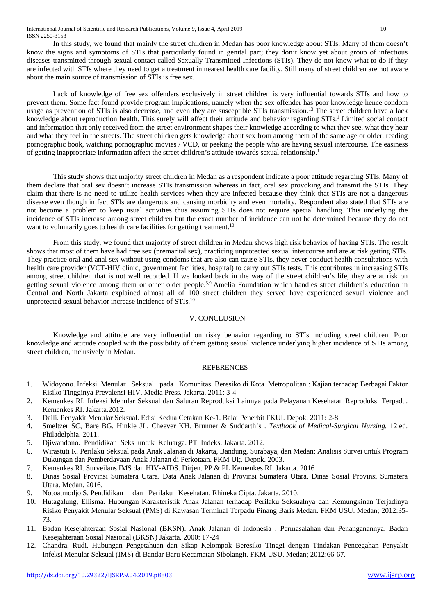In this study, we found that mainly the street children in Medan has poor knowledge about STIs. Many of them doesn't know the signs and symptoms of STIs that particularly found in genital part; they don't know yet about group of infectious diseases transmitted through sexual contact called Sexually Transmitted Infections (STIs). They do not know what to do if they are infected with STIs where they need to get a treatment in nearest health care facility. Still many of street children are not aware about the main source of transmission of STIs is free sex.

Lack of knowledge of free sex offenders exclusively in street children is very influential towards STIs and how to prevent them. Some fact found provide program implications, namely when the sex offender has poor knowledge hence condom usage as prevention of STIs is also decrease, and even they are susceptible STIs transmission.<sup>13</sup> The street children have a lack knowledge about reproduction health. This surely will affect their attitude and behavior regarding STIs.<sup>1</sup> Limited social contact and information that only received from the street environment shapes their knowledge according to what they see, what they hear and what they feel in the streets. The street children gets knowledge about sex from among them of the same age or older, reading pornographic book, watching pornographic movies / VCD, or peeking the people who are having sexual intercourse. The easiness of getting inappropriate information affect the street children's attitude towards sexual relationship.1

This study shows that majority street children in Medan as a respondent indicate a poor attitude regarding STIs. Many of them declare that oral sex doesn't increase STIs transmission whereas in fact, oral sex provoking and transmit the STIs. They claim that there is no need to utilize health services when they are infected because they think that STIs are not a dangerous disease even though in fact STIs are dangerous and causing morbidity and even mortality. Respondent also stated that STIs are not become a problem to keep usual activities thus assuming STIs does not require special handling. This underlying the incidence of STIs increase among street children but the exact number of incidence can not be determined because they do not want to voluntarily goes to health care facilities for getting treatment.<sup>10</sup>

From this study, we found that majority of street children in Medan shows high risk behavior of having STIs. The result shows that most of them have had free sex (premarital sex), practicing unprotected sexual intercourse and are at risk getting STIs. They practice oral and anal sex without using condoms that are also can cause STIs, they never conduct health consultations with health care provider (VCT-HIV clinic, government facilities, hospital) to carry out STIs tests. This contributes in increasing STIs among street children that is not well recorded. If we looked back in the way of the street children's life, they are at risk on getting sexual violence among them or other older people.<sup>5,9</sup> Amelia Foundation which handles street children's education in Central and North Jakarta explained almost all of 100 street children they served have experienced sexual violence and unprotected sexual behavior increase incidence of STIs.10

#### V. CONCLUSION

Knowledge and attitude are very influential on risky behavior regarding to STIs including street children. Poor knowledge and attitude coupled with the possibility of them getting sexual violence underlying higher incidence of STIs among street children, inclusively in Medan.

#### **REFERENCES**

- 1. Widoyono. Infeksi Menular Seksual pada Komunitas Beresiko di Kota Metropolitan : Kajian terhadap Berbagai Faktor Risiko Tingginya Prevalensi HIV. Media Press. Jakarta. 2011: 3-4
- 2. Kemenkes RI. Infeksi Menular Seksual dan Saluran Reproduksi Lainnya pada Pelayanan Kesehatan Reproduksi Terpadu. Kemenkes RI. Jakarta.2012.
- 3. Daili. Penyakit Menular Seksual. Edisi Kedua Cetakan Ke-1. Balai Penerbit FKUI. Depok. 2011: 2-8
- 4. Smeltzer SC, Bare BG, Hinkle JL, Cheever KH. Brunner & Suddarth's . *Textbook of Medical-Surgical Nursing.* 12 ed. Philadelphia. 2011.
- 5. Djiwandono. Pendidikan Seks untuk Keluarga. PT. Indeks. Jakarta. 2012.
- 6. Wirastuti R. Perilaku Seksual pada Anak Jalanan di Jakarta, Bandung, Surabaya, dan Medan: Analisis Survei untuk Program Dukungan dan Pemberdayaan Anak Jalanan di Perkotaan. FKM UI;. Depok. 2003.
- 7. Kemenkes RI. Surveilans IMS dan HIV-AIDS. Dirjen. PP & PL Kemenkes RI. Jakarta. 2016
- 8. Dinas Sosial Provinsi Sumatera Utara. Data Anak Jalanan di Provinsi Sumatera Utara. Dinas Sosial Provinsi Sumatera Utara. Medan. 2016.
- 9. Notoatmodjo S. Pendidikan dan Perilaku Kesehatan. Rhineka Cipta. Jakarta. 2010.
- 10. Hutagalung, Ellisma. Hubungan Karakteristik Anak Jalanan terhadap Perilaku Seksualnya dan Kemungkinan Terjadinya Risiko Penyakit Menular Seksual (PMS) di Kawasan Terminal Terpadu Pinang Baris Medan. FKM USU. Medan; 2012:35- 73.
- 11. Badan Kesejahteraan Sosial Nasional (BKSN). Anak Jalanan di Indonesia : Permasalahan dan Penanganannya. Badan Kesejahteraan Sosial Nasional (BKSN) Jakarta. 2000: 17-24
- 12. Chandra, Rudi. Hubungan Pengetahuan dan Sikap Kelompok Beresiko Tinggi dengan Tindakan Pencegahan Penyakit Infeksi Menular Seksual (IMS) di Bandar Baru Kecamatan Sibolangit. FKM USU. Medan; 2012:66-67.